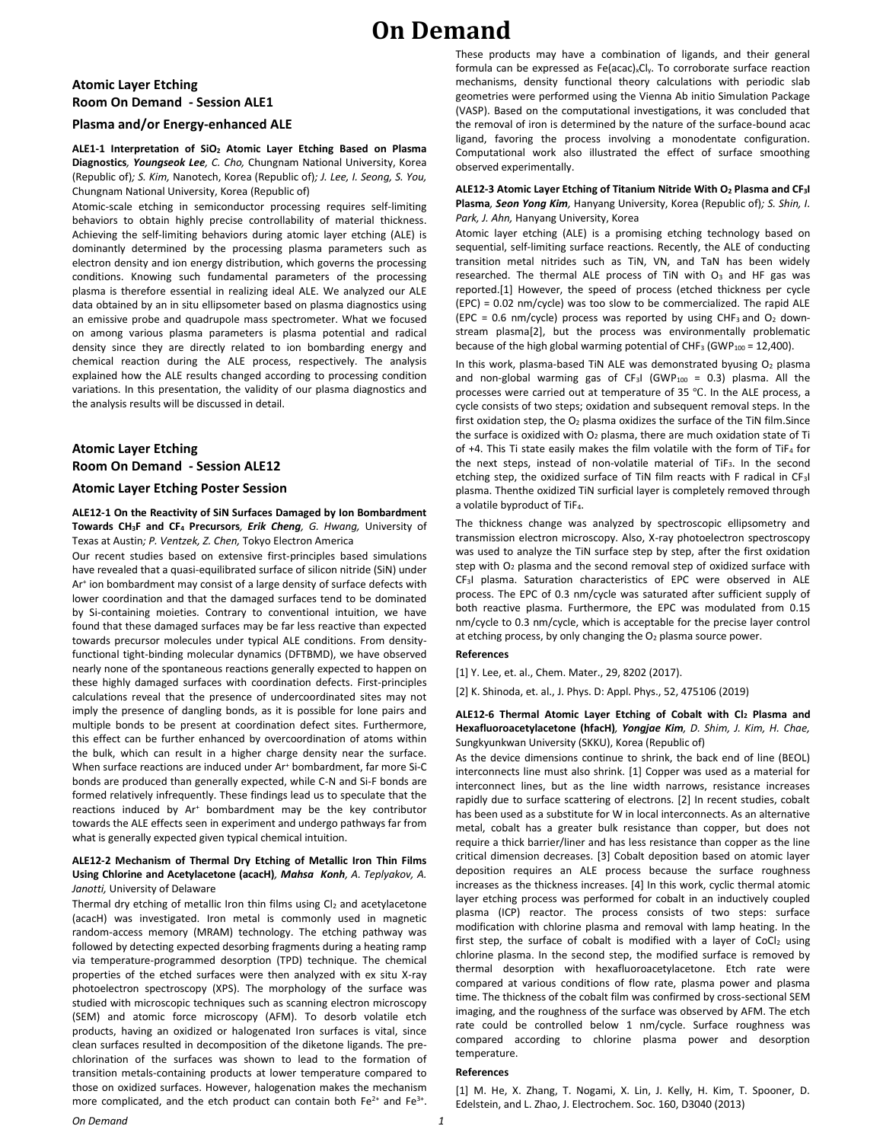# **On Demand**

# **Atomic Layer Etching Room On Demand - Session ALE1**

## **Plasma and/or Energy-enhanced ALE**

**ALE1-1 Interpretation of SiO<sup>2</sup> Atomic Layer Etching Based on Plasma Diagnostics***, Youngseok Lee, C. Cho,* Chungnam National University, Korea (Republic of)*; S. Kim,* Nanotech, Korea (Republic of)*; J. Lee, I. Seong, S. You,*  Chungnam National University, Korea (Republic of)

Atomic-scale etching in semiconductor processing requires self-limiting behaviors to obtain highly precise controllability of material thickness. Achieving the self-limiting behaviors during atomic layer etching (ALE) is dominantly determined by the processing plasma parameters such as electron density and ion energy distribution, which governs the processing conditions. Knowing such fundamental parameters of the processing plasma is therefore essential in realizing ideal ALE. We analyzed our ALE data obtained by an in situ ellipsometer based on plasma diagnostics using an emissive probe and quadrupole mass spectrometer. What we focused on among various plasma parameters is plasma potential and radical density since they are directly related to ion bombarding energy and chemical reaction during the ALE process, respectively. The analysis explained how the ALE results changed according to processing condition variations. In this presentation, the validity of our plasma diagnostics and the analysis results will be discussed in detail.

# **Atomic Layer Etching Room On Demand - Session ALE12**

#### **Atomic Layer Etching Poster Session**

**ALE12-1 On the Reactivity of SiN Surfaces Damaged by Ion Bombardment Towards CH3F and CF<sup>4</sup> Precursors***, Erik Cheng, G. Hwang,* University of Texas at Austin*; P. Ventzek, Z. Chen,* Tokyo Electron America

Our recent studies based on extensive first-principles based simulations have revealed that a quasi-equilibrated surface of silicon nitride (SiN) under Ar<sup>+</sup> ion bombardment may consist of a large density of surface defects with lower coordination and that the damaged surfaces tend to be dominated by Si-containing moieties. Contrary to conventional intuition, we have found that these damaged surfaces may be far less reactive than expected towards precursor molecules under typical ALE conditions. From densityfunctional tight-binding molecular dynamics (DFTBMD), we have observed nearly none of the spontaneous reactions generally expected to happen on these highly damaged surfaces with coordination defects. First-principles calculations reveal that the presence of undercoordinated sites may not imply the presence of dangling bonds, as it is possible for lone pairs and multiple bonds to be present at coordination defect sites. Furthermore, this effect can be further enhanced by overcoordination of atoms within the bulk, which can result in a higher charge density near the surface. When surface reactions are induced under Ar<sup>+</sup> bombardment, far more Si-C bonds are produced than generally expected, while C-N and Si-F bonds are formed relatively infrequently. These findings lead us to speculate that the reactions induced by Ar<sup>+</sup> bombardment may be the key contributor towards the ALE effects seen in experiment and undergo pathways far from what is generally expected given typical chemical intuition.

### **ALE12-2 Mechanism of Thermal Dry Etching of Metallic Iron Thin Films Using Chlorine and Acetylacetone (acacH)***, Mahsa Konh, A. Teplyakov, A. Janotti,* University of Delaware

Thermal dry etching of metallic Iron thin films using  $Cl<sub>2</sub>$  and acetylacetone (acacH) was investigated. Iron metal is commonly used in magnetic random-access memory (MRAM) technology. The etching pathway was followed by detecting expected desorbing fragments during a heating ramp via temperature-programmed desorption (TPD) technique. The chemical properties of the etched surfaces were then analyzed with ex situ X-ray photoelectron spectroscopy (XPS). The morphology of the surface was studied with microscopic techniques such as scanning electron microscopy (SEM) and atomic force microscopy (AFM). To desorb volatile etch products, having an oxidized or halogenated Iron surfaces is vital, since clean surfaces resulted in decomposition of the diketone ligands. The prechlorination of the surfaces was shown to lead to the formation of transition metals-containing products at lower temperature compared to those on oxidized surfaces. However, halogenation makes the mechanism more complicated, and the etch product can contain both  $Fe^{2+}$  and  $Fe^{3+}$ . These products may have a combination of ligands, and their general formula can be expressed as Fe(acac)<sub>x</sub>Cl<sub>y</sub>. To corroborate surface reaction mechanisms, density functional theory calculations with periodic slab geometries were performed using the Vienna Ab initio Simulation Package (VASP). Based on the computational investigations, it was concluded that the removal of iron is determined by the nature of the surface-bound acac ligand, favoring the process involving a monodentate configuration. Computational work also illustrated the effect of surface smoothing observed experimentally.

### **ALE12-3 Atomic Layer Etching of Titanium Nitride With O<sup>2</sup> Plasma and CF3I Plasma***, Seon Yong Kim,* Hanyang University, Korea (Republic of)*; S. Shin, I. Park, J. Ahn,* Hanyang University, Korea

Atomic layer etching (ALE) is a promising etching technology based on sequential, self-limiting surface reactions. Recently, the ALE of conducting transition metal nitrides such as TiN, VN, and TaN has been widely researched. The thermal ALE process of TiN with O<sub>3</sub> and HF gas was reported.[1] However, the speed of process (etched thickness per cycle (EPC) = 0.02 nm/cycle) was too slow to be commercialized. The rapid ALE (EPC = 0.6 nm/cycle) process was reported by using CHF<sub>3</sub> and  $O<sub>2</sub>$  downstream plasma[2], but the process was environmentally problematic because of the high global warming potential of CHF<sub>3</sub> (GWP<sub>100</sub> = 12,400).

In this work, plasma-based TiN ALE was demonstrated byusing  $O<sub>2</sub>$  plasma and non-global warming gas of  $CF_3I$  (GWP<sub>100</sub> = 0.3) plasma. All the processes were carried out at temperature of 35 ℃. In the ALE process, a cycle consists of two steps; oxidation and subsequent removal steps. In the first oxidation step, the  $O<sub>2</sub>$  plasma oxidizes the surface of the TiN film. Since the surface is oxidized with  $O<sub>2</sub>$  plasma, there are much oxidation state of Ti of  $+4$ . This Ti state easily makes the film volatile with the form of TiF<sub>4</sub> for the next steps, instead of non-volatile material of TiF3. In the second etching step, the oxidized surface of TiN film reacts with F radical in CF3I plasma. Thenthe oxidized TiN surficial layer is completely removed through a volatile byproduct of TiF<sub>4</sub>.

The thickness change was analyzed by spectroscopic ellipsometry and transmission electron microscopy. Also, X-ray photoelectron spectroscopy was used to analyze the TiN surface step by step, after the first oxidation step with  $O<sub>2</sub>$  plasma and the second removal step of oxidized surface with CF3I plasma. Saturation characteristics of EPC were observed in ALE process. The EPC of 0.3 nm/cycle was saturated after sufficient supply of both reactive plasma. Furthermore, the EPC was modulated from 0.15 nm/cycle to 0.3 nm/cycle, which is acceptable for the precise layer control at etching process, by only changing the  $O<sub>2</sub>$  plasma source power.

#### **References**

[1] Y. Lee, et. al., Chem. Mater., 29, 8202 (2017).

[2] K. Shinoda, et. al., J. Phys. D: Appl. Phys., 52, 475106 (2019)

#### **ALE12-6 Thermal Atomic Layer Etching of Cobalt with Cl<sup>2</sup> Plasma and Hexafluoroacetylacetone (hfacH)***, Yongjae Kim, D. Shim, J. Kim, H. Chae,*  Sungkyunkwan University (SKKU), Korea (Republic of)

As the device dimensions continue to shrink, the back end of line (BEOL) interconnects line must also shrink. [1] Copper was used as a material for interconnect lines, but as the line width narrows, resistance increases rapidly due to surface scattering of electrons. [2] In recent studies, cobalt has been used as a substitute for W in local interconnects. As an alternative metal, cobalt has a greater bulk resistance than copper, but does not require a thick barrier/liner and has less resistance than copper as the line critical dimension decreases. [3] Cobalt deposition based on atomic layer deposition requires an ALE process because the surface roughness increases as the thickness increases. [4] In this work, cyclic thermal atomic layer etching process was performed for cobalt in an inductively coupled plasma (ICP) reactor. The process consists of two steps: surface modification with chlorine plasma and removal with lamp heating. In the first step, the surface of cobalt is modified with a layer of  $CoCl<sub>2</sub>$  using chlorine plasma. In the second step, the modified surface is removed by thermal desorption with hexafluoroacetylacetone. Etch rate were compared at various conditions of flow rate, plasma power and plasma time. The thickness of the cobalt film was confirmed by cross-sectional SEM imaging, and the roughness of the surface was observed by AFM. The etch rate could be controlled below 1 nm/cycle. Surface roughness was compared according to chlorine plasma power and desorption temperature.

## **References**

[1] M. He, X. Zhang, T. Nogami, X. Lin, J. Kelly, H. Kim, T. Spooner, D. Edelstein, and L. Zhao, J. Electrochem. Soc. 160, D3040 (2013)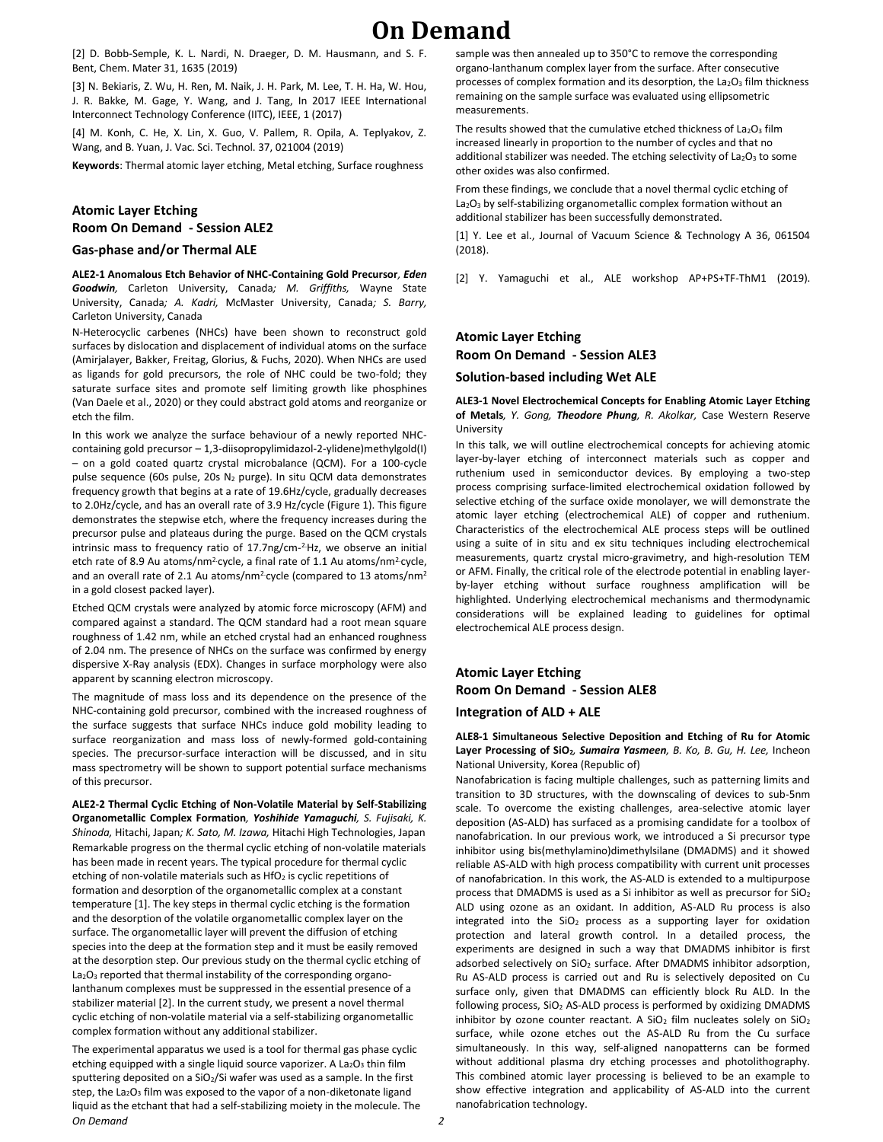# **On Demand**

[2] D. Bobb-Semple, K. L. Nardi, N. Draeger, D. M. Hausmann, and S. F. Bent, Chem. Mater 31, 1635 (2019)

[3] N. Bekiaris, Z. Wu, H. Ren, M. Naik, J. H. Park, M. Lee, T. H. Ha, W. Hou, J. R. Bakke, M. Gage, Y. Wang, and J. Tang, In 2017 IEEE International Interconnect Technology Conference (IITC), IEEE, 1 (2017)

[4] M. Konh, C. He, X. Lin, X. Guo, V. Pallem, R. Opila, A. Teplyakov, Z. Wang, and B. Yuan, J. Vac. Sci. Technol. 37, 021004 (2019)

**Keywords**: Thermal atomic layer etching, Metal etching, Surface roughness

## **Atomic Layer Etching Room On Demand - Session ALE2**

#### **Gas-phase and/or Thermal ALE**

**ALE2-1 Anomalous Etch Behavior of NHC-Containing Gold Precursor***, Eden Goodwin,* Carleton University, Canada*; M. Griffiths,* Wayne State University, Canada*; A. Kadri,* McMaster University, Canada*; S. Barry,*  Carleton University, Canada

N-Heterocyclic carbenes (NHCs) have been shown to reconstruct gold surfaces by dislocation and displacement of individual atoms on the surface (Amirjalayer, Bakker, Freitag, Glorius, & Fuchs, 2020). When NHCs are used as ligands for gold precursors, the role of NHC could be two-fold; they saturate surface sites and promote self limiting growth like phosphines (Van Daele et al., 2020) or they could abstract gold atoms and reorganize or etch the film.

In this work we analyze the surface behaviour of a newly reported NHCcontaining gold precursor – 1,3-diisopropylimidazol-2-ylidene)methylgold(I) – on a gold coated quartz crystal microbalance (QCM). For a 100-cycle pulse sequence (60s pulse, 20s  $N_2$  purge). In situ QCM data demonstrates frequency growth that begins at a rate of 19.6Hz/cycle, gradually decreases to 2.0Hz/cycle, and has an overall rate of 3.9 Hz/cycle (Figure 1). This figure demonstrates the stepwise etch, where the frequency increases during the precursor pulse and plateaus during the purge. Based on the QCM crystals intrinsic mass to frequency ratio of 17.7ng/cm-<sup>2.</sup>Hz, we observe an initial etch rate of 8.9 Au atoms/nm<sup>2</sup> cycle, a final rate of 1.1 Au atoms/nm<sup>2</sup> cycle, and an overall rate of 2.1 Au atoms/nm<sup>2</sup> cycle (compared to 13 atoms/nm<sup>2</sup> in a gold closest packed layer).

Etched QCM crystals were analyzed by atomic force microscopy (AFM) and compared against a standard. The QCM standard had a root mean square roughness of 1.42 nm, while an etched crystal had an enhanced roughness of 2.04 nm. The presence of NHCs on the surface was confirmed by energy dispersive X-Ray analysis (EDX). Changes in surface morphology were also apparent by scanning electron microscopy.

The magnitude of mass loss and its dependence on the presence of the NHC-containing gold precursor, combined with the increased roughness of the surface suggests that surface NHCs induce gold mobility leading to surface reorganization and mass loss of newly-formed gold-containing species. The precursor-surface interaction will be discussed, and in situ mass spectrometry will be shown to support potential surface mechanisms of this precursor.

**ALE2-2 Thermal Cyclic Etching of Non-Volatile Material by Self-Stabilizing Organometallic Complex Formation***, Yoshihide Yamaguchi, S. Fujisaki, K. Shinoda,* Hitachi, Japan*; K. Sato, M. Izawa,* Hitachi High Technologies, Japan Remarkable progress on the thermal cyclic etching of non-volatile materials has been made in recent years. The typical procedure for thermal cyclic etching of non-volatile materials such as  $HfO<sub>2</sub>$  is cyclic repetitions of formation and desorption of the organometallic complex at a constant temperature [1]. The key steps in thermal cyclic etching is the formation and the desorption of the volatile organometallic complex layer on the surface. The organometallic layer will prevent the diffusion of etching species into the deep at the formation step and it must be easily removed at the desorption step. Our previous study on the thermal cyclic etching of La<sub>2</sub>O<sub>3</sub> reported that thermal instability of the corresponding organolanthanum complexes must be suppressed in the essential presence of a stabilizer material [2]. In the current study, we present a novel thermal cyclic etching of non-volatile material via a self-stabilizing organometallic complex formation without any additional stabilizer.

*On Demand 2* The experimental apparatus we used is a tool for thermal gas phase cyclic etching equipped with a single liquid source vaporizer. A  $La<sub>2</sub>O<sub>3</sub>$  thin film sputtering deposited on a SiO2/Si wafer was used as a sample. In the first step, the La<sub>2</sub>O<sub>3</sub> film was exposed to the vapor of a non-diketonate ligand liquid as the etchant that had a self-stabilizing moiety in the molecule. The

sample was then annealed up to 350°C to remove the corresponding organo-lanthanum complex layer from the surface. After consecutive processes of complex formation and its desorption, the  $La<sub>2</sub>O<sub>3</sub>$  film thickness remaining on the sample surface was evaluated using ellipsometric measurements.

The results showed that the cumulative etched thickness of  $La<sub>2</sub>O<sub>3</sub>$  film increased linearly in proportion to the number of cycles and that no additional stabilizer was needed. The etching selectivity of  $La_2O_3$  to some other oxides was also confirmed.

From these findings, we conclude that a novel thermal cyclic etching of La<sub>2</sub>O<sub>3</sub> by self-stabilizing organometallic complex formation without an additional stabilizer has been successfully demonstrated.

[1] Y. Lee et al., Journal of Vacuum Science & Technology A 36, 061504 (2018).

[2] Y. Yamaguchi et al., ALE workshop AP+PS+TF-ThM1 (2019).

# **Atomic Layer Etching Room On Demand - Session ALE3**

#### **Solution-based including Wet ALE**

**ALE3-1 Novel Electrochemical Concepts for Enabling Atomic Layer Etching of Metals***, Y. Gong, Theodore Phung, R. Akolkar,* Case Western Reserve University

In this talk, we will outline electrochemical concepts for achieving atomic layer-by-layer etching of interconnect materials such as copper and ruthenium used in semiconductor devices. By employing a two-step process comprising surface-limited electrochemical oxidation followed by selective etching of the surface oxide monolayer, we will demonstrate the atomic layer etching (electrochemical ALE) of copper and ruthenium. Characteristics of the electrochemical ALE process steps will be outlined using a suite of in situ and ex situ techniques including electrochemical measurements, quartz crystal micro-gravimetry, and high-resolution TEM or AFM. Finally, the critical role of the electrode potential in enabling layerby-layer etching without surface roughness amplification will be highlighted. Underlying electrochemical mechanisms and thermodynamic considerations will be explained leading to guidelines for optimal electrochemical ALE process design.

**Atomic Layer Etching Room On Demand - Session ALE8 Integration of ALD + ALE**

**ALE8-1 Simultaneous Selective Deposition and Etching of Ru for Atomic Layer Processing of SiO2***, Sumaira Yasmeen, B. Ko, B. Gu, H. Lee,* Incheon National University, Korea (Republic of)

Nanofabrication is facing multiple challenges, such as patterning limits and transition to 3D structures, with the downscaling of devices to sub-5nm scale. To overcome the existing challenges, area-selective atomic layer deposition (AS-ALD) has surfaced as a promising candidate for a toolbox of nanofabrication. In our previous work, we introduced a Si precursor type inhibitor using bis(methylamino)dimethylsilane (DMADMS) and it showed reliable AS-ALD with high process compatibility with current unit processes of nanofabrication. In this work, the AS-ALD is extended to a multipurpose process that DMADMS is used as a Si inhibitor as well as precursor for SiO<sup>2</sup> ALD using ozone as an oxidant. In addition, AS-ALD Ru process is also integrated into the  $SiO<sub>2</sub>$  process as a supporting layer for oxidation protection and lateral growth control. In a detailed process, the experiments are designed in such a way that DMADMS inhibitor is first adsorbed selectively on SiO<sub>2</sub> surface. After DMADMS inhibitor adsorption, Ru AS-ALD process is carried out and Ru is selectively deposited on Cu surface only, given that DMADMS can efficiently block Ru ALD. In the following process,  $SiO<sub>2</sub>$  AS-ALD process is performed by oxidizing DMADMS inhibitor by ozone counter reactant. A  $SiO<sub>2</sub>$  film nucleates solely on  $SiO<sub>2</sub>$ surface, while ozone etches out the AS-ALD Ru from the Cu surface simultaneously. In this way, self-aligned nanopatterns can be formed without additional plasma dry etching processes and photolithography. This combined atomic layer processing is believed to be an example to show effective integration and applicability of AS-ALD into the current nanofabrication technology.